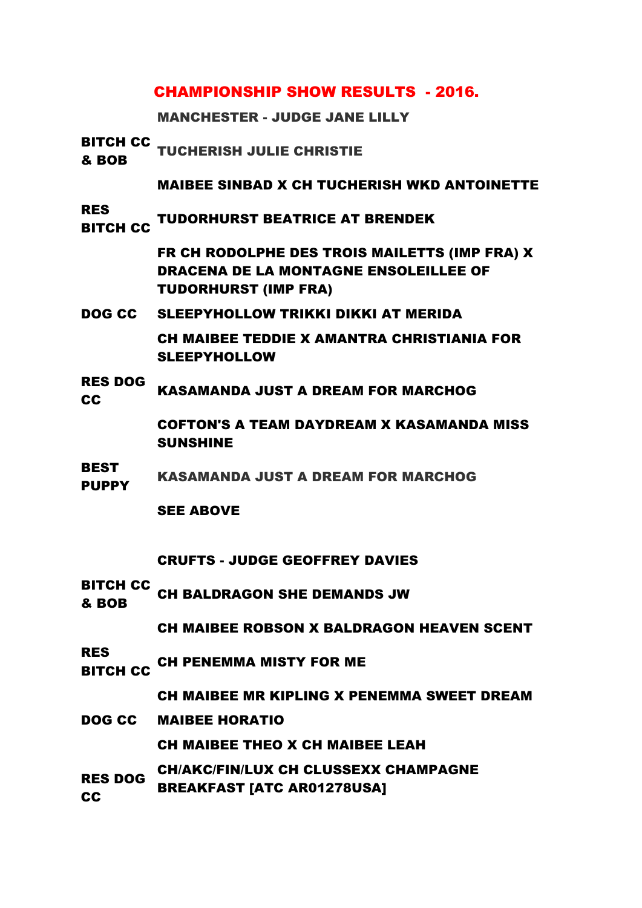# CHAMPIONSHIP SHOW RESULTS - 2016.

MANCHESTER - JUDGE JANE LILLY

| & BOB                         | <b>BITCH CC TUCHERISH JULIE CHRISTIE</b>                                                                                     |
|-------------------------------|------------------------------------------------------------------------------------------------------------------------------|
|                               | <b>MAIBEE SINBAD X CH TUCHERISH WKD ANTOINETTE</b>                                                                           |
| <b>RES</b><br><b>BITCH CC</b> | <b>TUDORHURST BEATRICE AT BRENDEK</b>                                                                                        |
|                               | FR CH RODOLPHE DES TROIS MAILETTS (IMP FRA) X<br><b>DRACENA DE LA MONTAGNE ENSOLEILLEE OF</b><br><b>TUDORHURST (IMP FRA)</b> |
|                               | <b>DOG CC SLEEPYHOLLOW TRIKKI DIKKI AT MERIDA</b>                                                                            |
|                               | CH MAIBEE TEDDIE X AMANTRA CHRISTIANIA FOR<br><b>SLEEPYHOLLOW</b>                                                            |
| <b>RES DOG</b><br><b>CC</b>   | KASAMANDA JUST A DREAM FOR MARCHOG                                                                                           |
|                               | <b>COFTON'S A TEAM DAYDREAM X KASAMANDA MISS</b><br><b>SUNSHINE</b>                                                          |
| <b>BEST</b><br><b>PUPPY</b>   | <b>KASAMANDA JUST A DREAM FOR MARCHOG</b>                                                                                    |
|                               | <b>SEE ABOVE</b>                                                                                                             |
|                               | <b>CRUFTS - JUDGE GEOFFREY DAVIES</b>                                                                                        |
| <b>BITCH CC</b><br>& BOB      | <b>CH BALDRAGON SHE DEMANDS JW</b>                                                                                           |
|                               | <b>CH MAIBEE ROBSON X BALDRAGON HEAVEN SCENT</b>                                                                             |
| <b>RES</b><br><b>BITCH CC</b> | <b>CH PENEMMA MISTY FOR ME</b>                                                                                               |
|                               | CH MAIBEE MR KIPLING X PENEMMA SWEET DREAM                                                                                   |
| DOG CC                        | <b>MAIBEE HORATIO</b>                                                                                                        |
|                               | <b>CH MAIBEE THEO X CH MAIBEE LEAH</b>                                                                                       |
| <b>RES DOG</b><br><b>CC</b>   | <b>CH/AKC/FIN/LUX CH CLUSSEXX CHAMPAGNE</b><br><b>BREAKFAST [ATC AR01278USA]</b>                                             |
|                               |                                                                                                                              |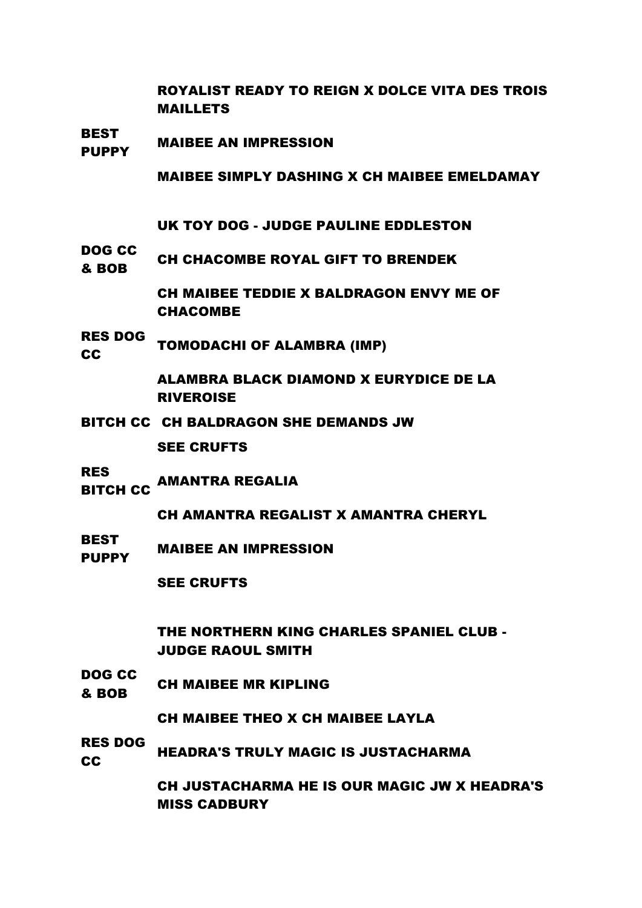ROYALIST READY TO REIGN X DOLCE VITA DES TROIS MAILLETS

BEST PUPPY MAIBEE AN IMPRESSION

MAIBEE SIMPLY DASHING X CH MAIBEE EMELDAMAY

UK TOY DOG - JUDGE PAULINE EDDLESTON

DOG CC **BOB CH CHACOMBE ROYAL GIFT TO BRENDEK** 

> CH MAIBEE TEDDIE X BALDRAGON ENVY ME OF CHACOMBE

RES DOG RES ESSEMBRA (IMP)

> ALAMBRA BLACK DIAMOND X EURYDICE DE LA RIVEROISE

BITCH CC CH BALDRAGON SHE DEMANDS JW

SEE CRUFTS

- RES
- .....<br>BITCH CC AMANTRA REGALIA

CH AMANTRA REGALIST X AMANTRA CHERYL

**BEST** PLOT MAIBEE AN IMPRESSION

SEE CRUFTS

THE NORTHERN KING CHARLES SPANIEL CLUB - JUDGE RAOUL SMITH

DOG CC **BOB CH MAIBEE MR KIPLING** 

CH MAIBEE THEO X CH MAIBEE LAYLA

RES DOG RES BUCK HEADRA'S TRULY MAGIC IS JUSTACHARMA

> CH JUSTACHARMA HE IS OUR MAGIC JW X HEADRA'S MISS CADBURY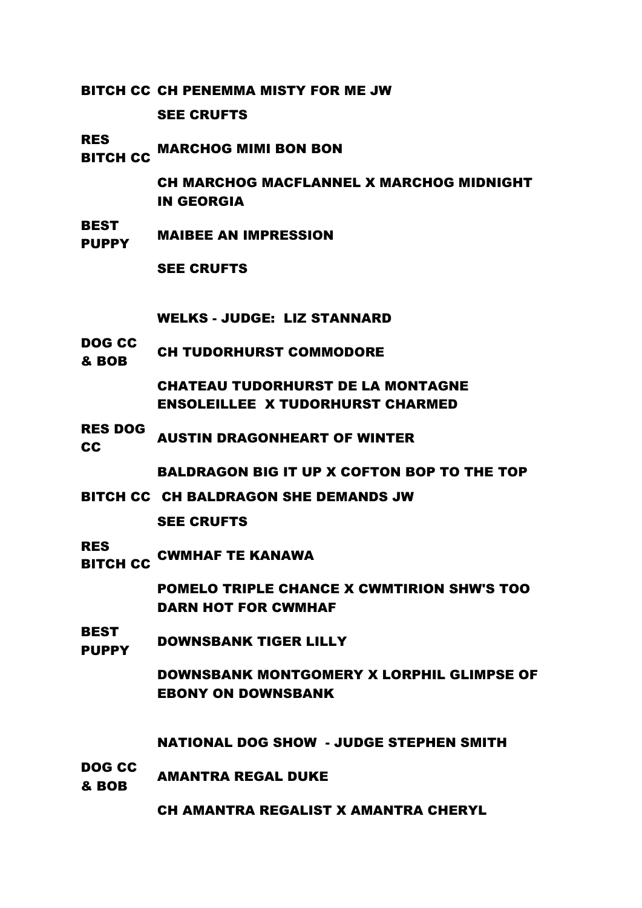BITCH CC CH PENEMMA MISTY FOR ME JW

SEE CRUFTS

RES

**BITCH CC MARCHOG MIMI BON BON** 

CH MARCHOG MACFLANNEL X MARCHOG MIDNIGHT IN GEORGIA

BEST PUPPY MAIBEE AN IMPRESSION

SEE CRUFTS

WELKS - JUDGE: LIZ STANNARD

DOG CC **BOB** CH TUDORHURST COMMODORE

> CHATEAU TUDORHURST DE LA MONTAGNE ENSOLEILLEE X TUDORHURST CHARMED

RES DOG RES BUS AUSTIN DRAGONHEART OF WINTER

BALDRAGON BIG IT UP X COFTON BOP TO THE TOP

BITCH CC CH BALDRAGON SHE DEMANDS JW

SEE CRUFTS

RES ..\_<del>\_</del><br>BITCH CC <sup>CWMHAF TE KANAWA</sup>

> POMELO TRIPLE CHANCE X CWMTIRION SHW'S TOO DARN HOT FOR CWMHAF

BEST PUPPY DOWNSBANK TIGER LILLY

> DOWNSBANK MONTGOMERY X LORPHIL GLIMPSE OF EBONY ON DOWNSBANK

NATIONAL DOG SHOW - JUDGE STEPHEN SMITH

DOG CC **AMANTRA REGAL DUKE** 

CH AMANTRA REGALIST X AMANTRA CHERYL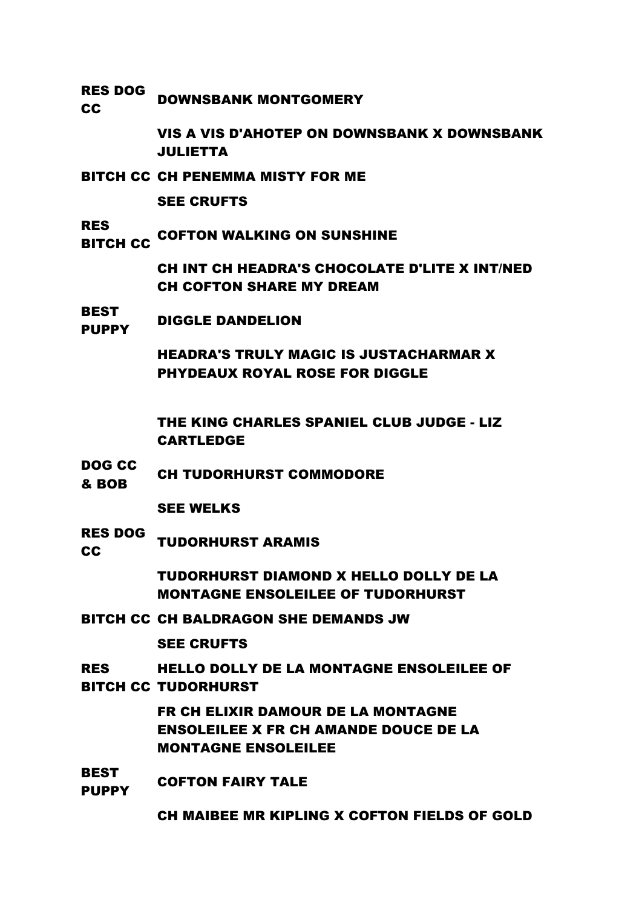RES DOG RES BOOD DOWNSBANK MONTGOMERY

> VIS A VIS D'AHOTEP ON DOWNSBANK X DOWNSBANK JULIETTA

BITCH CC CH PENEMMA MISTY FOR ME

SEE CRUFTS

RES

**COFTON WALKING ON SUNSHINE**<br>BITCH CC

CH INT CH HEADRA'S CHOCOLATE D'LITE X INT/NED CH COFTON SHARE MY DREAM

BEST PUPPY DIGGLE DANDELION

> HEADRA'S TRULY MAGIC IS JUSTACHARMAR X PHYDEAUX ROYAL ROSE FOR DIGGLE

THE KING CHARLES SPANIEL CLUB JUDGE - LIZ CARTLEDGE

DOG CC **EXECUTE CH TUDORHURST COMMODORE** 

SEE WELKS

RES DOG RES DUCTURE TUDORHURST ARAMIS

> TUDORHURST DIAMOND X HELLO DOLLY DE LA MONTAGNE ENSOLEILEE OF TUDORHURST

BITCH CC CH BALDRAGON SHE DEMANDS JW

SEE CRUFTS

#### RES BITCH CC TUDORHURST HELLO DOLLY DE LA MONTAGNE ENSOLEILEE OF

FR CH ELIXIR DAMOUR DE LA MONTAGNE ENSOLEILEE X FR CH AMANDE DOUCE DE LA MONTAGNE ENSOLEILEE

BEST PUPPY COFTON FAIRY TALE

CH MAIBEE MR KIPLING X COFTON FIELDS OF GOLD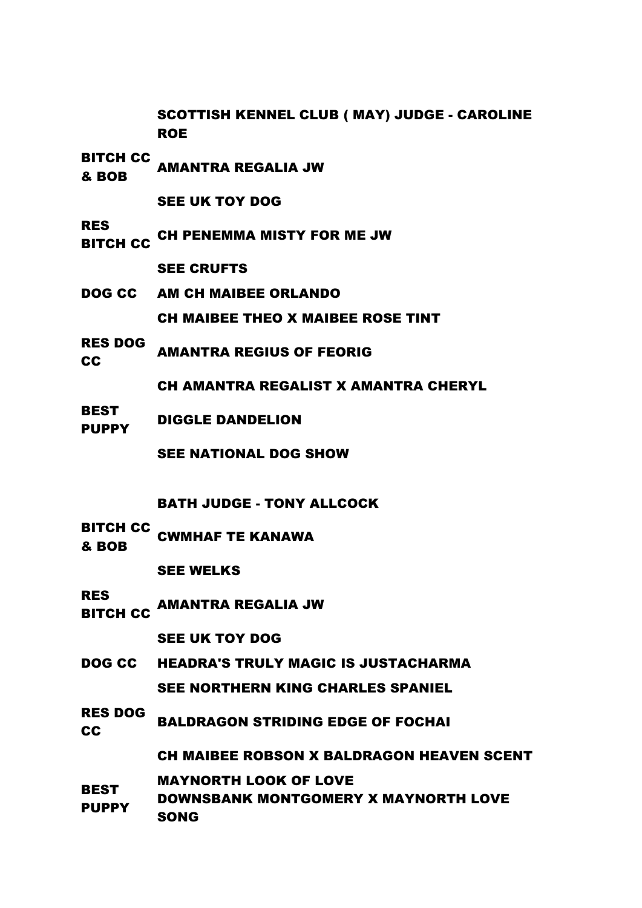SCOTTISH KENNEL CLUB ( MAY) JUDGE - CAROLINE ROE

BITCH CC

**EXAMPLE AMANTRA REGALIA JW<br>& BOB** 

SEE UK TOY DOG

RES<br>BITCH CC CH PENEMMA MISTY FOR ME JW

SEE CRUFTS

- DOG CC AM CH MAIBEE ORLANDO CH MAIBEE THEO X MAIBEE ROSE TINT
- RES DOG REGIUS OF FEORIG<br>CC

CH AMANTRA REGALIST X AMANTRA CHERYL

**BEST** PUPPY DIGGLE DANDELION

SEE NATIONAL DOG SHOW

BATH JUDGE - TONY ALLCOCK

BITCH CC **BOB** CWMHAF TE KANAWA

SEE WELKS

RES

..\_<del>\_</del><br>BITCH CC AMANTRA REGALIA JW

SEE UK TOY DOG

- DOG CC HEADRA'S TRULY MAGIC IS JUSTACHARMA SEE NORTHERN KING CHARLES SPANIEL
- RES DOG NOT COMMISSION STRIDING EDGE OF FOCHAIN

CH MAIBEE ROBSON X BALDRAGON HEAVEN SCENT

- **BEST** MAYNORTH LOOK OF LOVE
- **PUPPY** DOWNSBANK MONTGOMERY X MAYNORTH LOVE SONG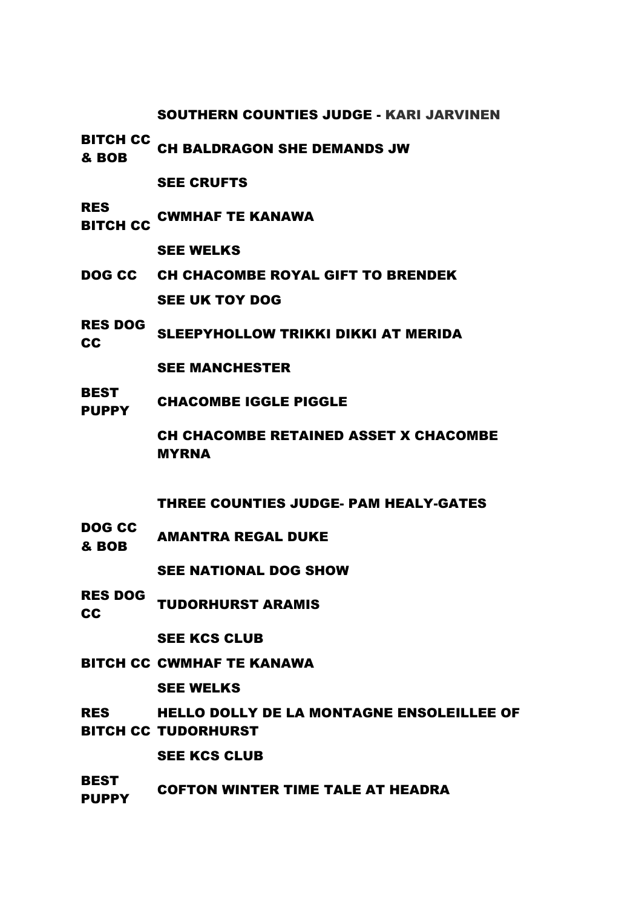SOUTHERN COUNTIES JUDGE - KARI JARVINEN

BITCH CC **BITCH CC CH BALDRAGON SHE DEMANDS JW** 

SEE CRUFTS

RES ..\_<del>\_</del><br>BITCH CC <sup>CWMHAF TE KANAWA</sup>

SEE WELKS

- DOG CC CH CHACOMBE ROYAL GIFT TO BRENDEK SEE UK TOY DOG
- RES DOG NES BUSH SLEEPYHOLLOW TRIKKI DIKKI AT MERIDA<br>CC

SEE MANCHESTER

**BEST** PUPPY CHACOMBE IGGLE PIGGLE

> CH CHACOMBE RETAINED ASSET X CHACOMBE MYRNA

THREE COUNTIES JUDGE- PAM HEALY-GATES

DOG CC **BOB AMANTRA REGAL DUKE** 

SEE NATIONAL DOG SHOW

RES DOG **CC** TUDORHURST ARAMIS

SEE KCS CLUB

BITCH CC CWMHAF TE KANAWA

SEE WELKS

RES HELLO DOLLY DE LA MONTAGNE ENSOLEILLEE OF

BITCH CC TUDORHURST

SEE KCS CLUB

BEST PUPPY COFTON WINTER TIME TALE AT HEADRA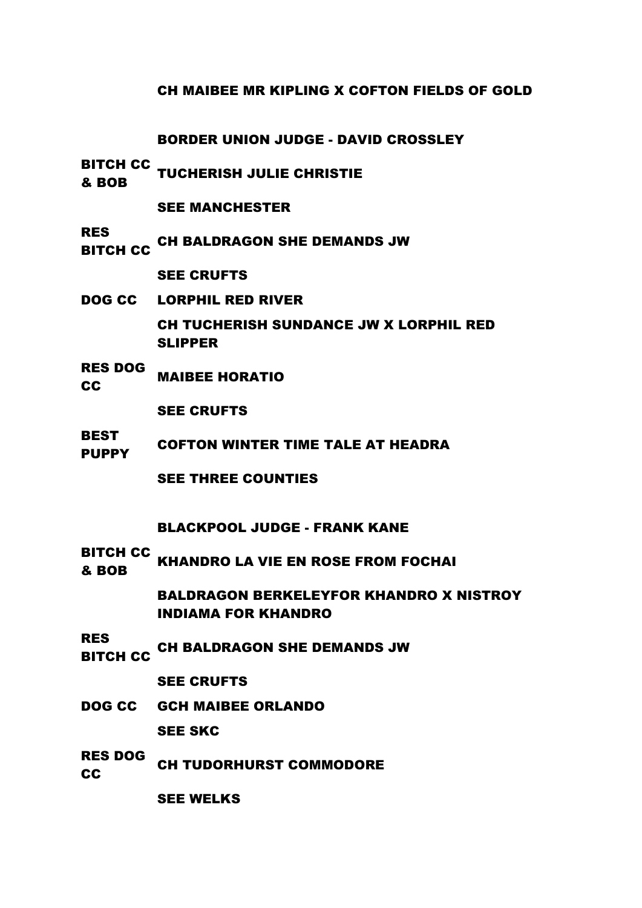#### CH MAIBEE MR KIPLING X COFTON FIELDS OF GOLD

#### BORDER UNION JUDGE - DAVID CROSSLEY

BITCH CC **ELLOTS TUCHERISH JULIE CHRISTIE<br>& BOB** 

SEE MANCHESTER

RES

..\_\_<br>BITCH CC CH BALDRAGON SHE DEMANDS JW

SEE CRUFTS

DOG CC LORPHIL RED RIVER

CH TUCHERISH SUNDANCE JW X LORPHIL RED SLIPPER

RES DOG **CC MAIBEE HORATION** 

SEE CRUFTS

**BEST** PUPPY COFTON WINTER TIME TALE AT HEADRA

SEE THREE COUNTIES

#### BLACKPOOL JUDGE - FRANK KANE

BITCH CC **BOB KHANDRO LA VIE EN ROSE FROM FOCHAI** 

> BALDRAGON BERKELEYFOR KHANDRO X NISTROY INDIAMA FOR KHANDRO

RES ..\_\_<br>BITCH CC CH BALDRAGON SHE DEMANDS JW

SEE CRUFTS

DOG CC GCH MAIBEE ORLANDO

SEE SKC

RES DOG **CC** CH TUDORHURST COMMODORE

SEE WELKS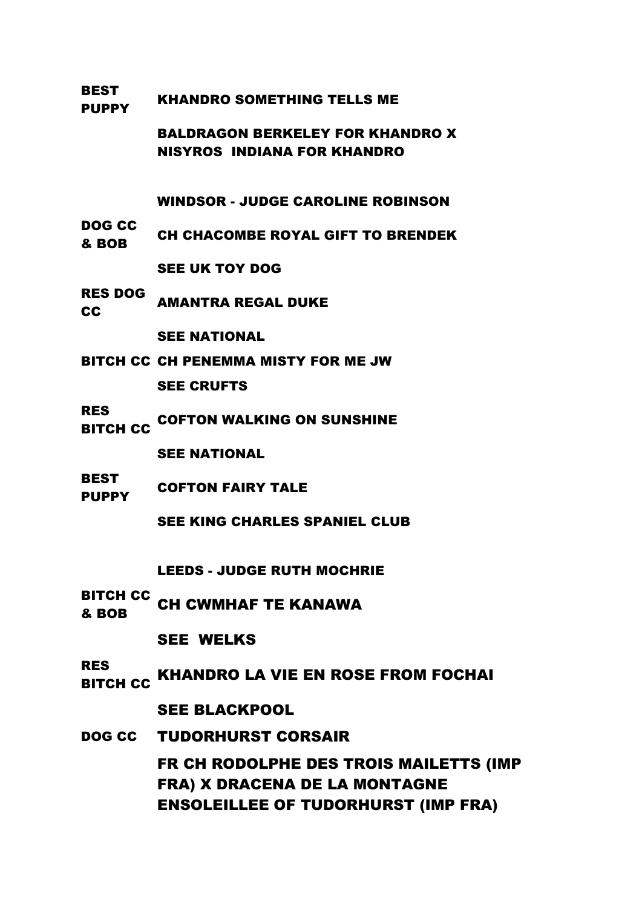#### BEST PUPPY KHANDRO SOMETHING TELLS ME

BALDRAGON BERKELEY FOR KHANDRO X NISYROS INDIANA FOR KHANDRO

WINDSOR - JUDGE CAROLINE ROBINSON

DOG CC **BOB CH CHACOMBE ROYAL GIFT TO BRENDEK** 

SEE UK TOY DOG

RES DOG RES DOG AMANTRA REGAL DUKE

SEE NATIONAL

- BITCH CC CH PENEMMA MISTY FOR ME JW SEE CRUFTS
- RES

..\_\_<br>BITCH CC COFTON WALKING ON SUNSHINE

SEE NATIONAL

BEST PUPPY COFTON FAIRY TALE

SEE KING CHARLES SPANIEL CLUB

LEEDS - JUDGE RUTH MOCHRIE

BITCH CC & BOB CH CWMHAF TE KANAWA

SEE WELKS

RES<br>BITCH CC **KHANDRO LA VIE EN ROSE FROM FOCHAI** 

SEE BLACKPOOL

DOG CC TUDORHURST CORSAIR FR CH RODOLPHE DES TROIS MAILETTS (IMP FRA) X DRACENA DE LA MONTAGNE ENSOLEILLEE OF TUDORHURST (IMP FRA)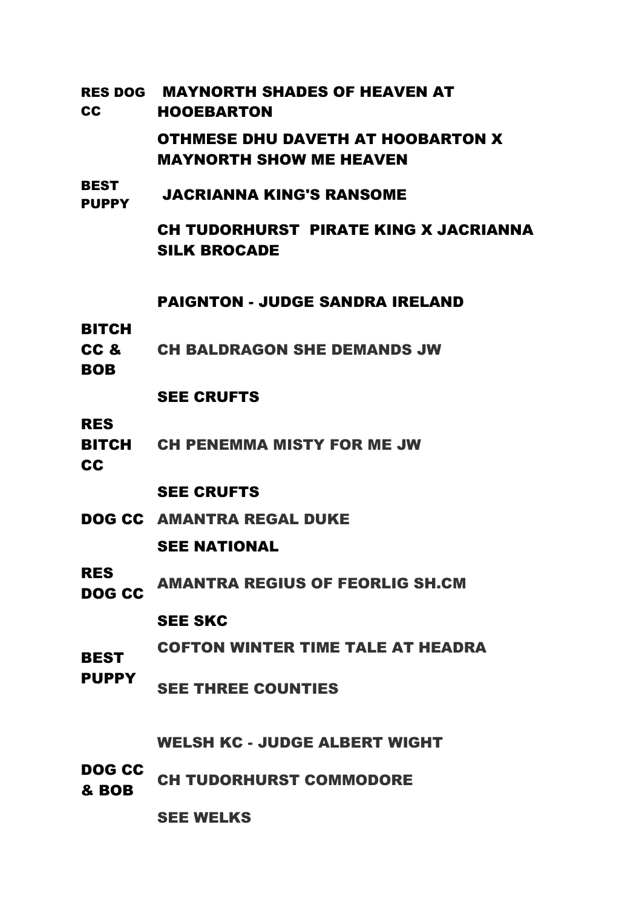| RES DOG<br><b>CC</b>               | <b>MAYNORTH SHADES OF HEAVEN AT</b><br><b>HOOEBARTON</b>                   |
|------------------------------------|----------------------------------------------------------------------------|
|                                    | <b>OTHMESE DHU DAVETH AT HOOBARTON X</b><br><b>MAYNORTH SHOW ME HEAVEN</b> |
| <b>BEST</b><br><b>PUPPY</b>        | <b>JACRIANNA KING'S RANSOME</b>                                            |
|                                    | CH TUDORHURST PIRATE KING X JACRIANNA<br><b>SILK BROCADE</b>               |
|                                    | <b>PAIGNTON - JUDGE SANDRA IRELAND</b>                                     |
| <b>BITCH</b><br>CC &<br><b>BOB</b> | <b>CH BALDRAGON SHE DEMANDS JW</b>                                         |
|                                    | <b>SEE CRUFTS</b>                                                          |
| <b>RES</b><br>BITCH<br><b>CC</b>   | <b>CH PENEMMA MISTY FOR ME JW</b>                                          |
|                                    | <b>SEE CRUFTS</b>                                                          |
|                                    | <b>DOG CC AMANTRA REGAL DUKE</b>                                           |
|                                    | <b>SEE NATIONAL</b>                                                        |
| <b>RES</b><br>DOG CC               | <b>AMANTRA REGIUS OF FEORLIG SH.CM</b>                                     |
|                                    | <b>SEE SKC</b>                                                             |
| <b>BEST</b>                        | <b>COFTON WINTER TIME TALE AT HEADRA</b>                                   |
| <b>PUPPY</b>                       | <b>SEE THREE COUNTIES</b>                                                  |
|                                    | <b>WELSH KC - JUDGE ALBERT WIGHT</b>                                       |
| DOG CC<br>& BOB                    | <b>CH TUDORHURST COMMODORE</b>                                             |
|                                    | <b>SEE WELKS</b>                                                           |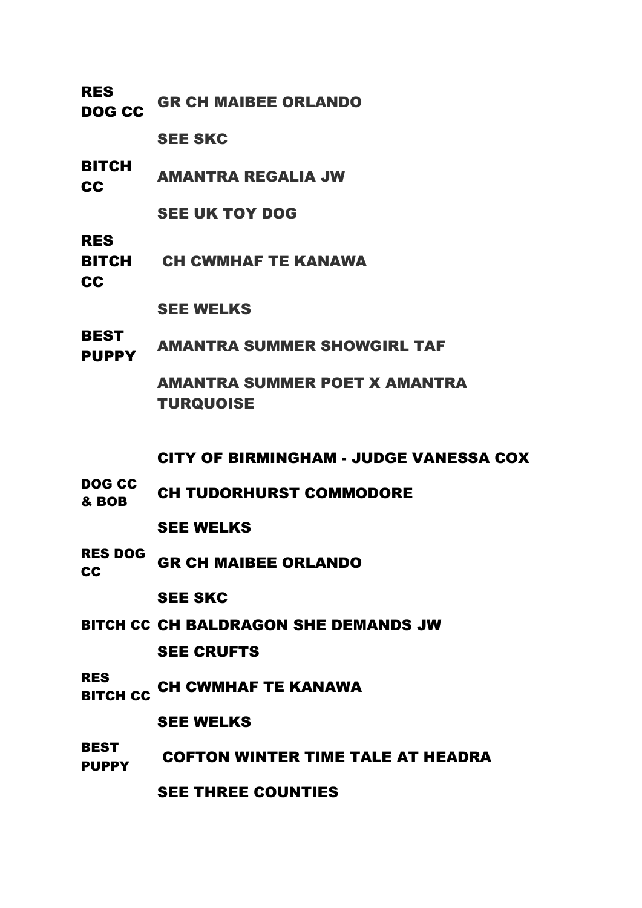| <b>RES</b><br><b>DOG CC</b>   | <b>GR CH MAIBEE ORLANDO</b>                              |
|-------------------------------|----------------------------------------------------------|
|                               | <b>SEE SKC</b>                                           |
| <b>BITCH</b><br><b>CC</b>     | <b>AMANTRA REGALIA JW</b>                                |
|                               | <b>SEE UK TOY DOG</b>                                    |
| <b>RES</b><br><b>CC</b>       | <b>BITCH CH CWMHAF TE KANAWA</b>                         |
|                               | <b>SEE WELKS</b>                                         |
| <b>BEST</b><br><b>PUPPY</b>   | <b>AMANTRA SUMMER SHOWGIRL TAF</b>                       |
|                               | <b>AMANTRA SUMMER POET X AMANTRA</b><br><b>TURQUOISE</b> |
|                               | <b>CITY OF BIRMINGHAM - JUDGE VANESSA COX</b>            |
| <b>DOG CC</b><br>& BOB        | <b>CH TUDORHURST COMMODORE</b>                           |
|                               | <b>SEE WELKS</b>                                         |
| <b>RES DOG</b><br>cc          | <b>GR CH MAIBEE ORLANDO</b>                              |
|                               | <b>SEE SKC</b>                                           |
|                               | <b>BITCH CC CH BALDRAGON SHE DEMANDS JW</b>              |
|                               | <b>SEE CRUFTS</b>                                        |
| <b>RES</b><br><b>BITCH CC</b> | <b>CH CWMHAF TE KANAWA</b>                               |
|                               | <b>SEE WELKS</b>                                         |
| <b>BEST</b><br><b>PUPPY</b>   | <b>COFTON WINTER TIME TALE AT HEADRA</b>                 |
|                               | <b>SEE THREE COUNTIES</b>                                |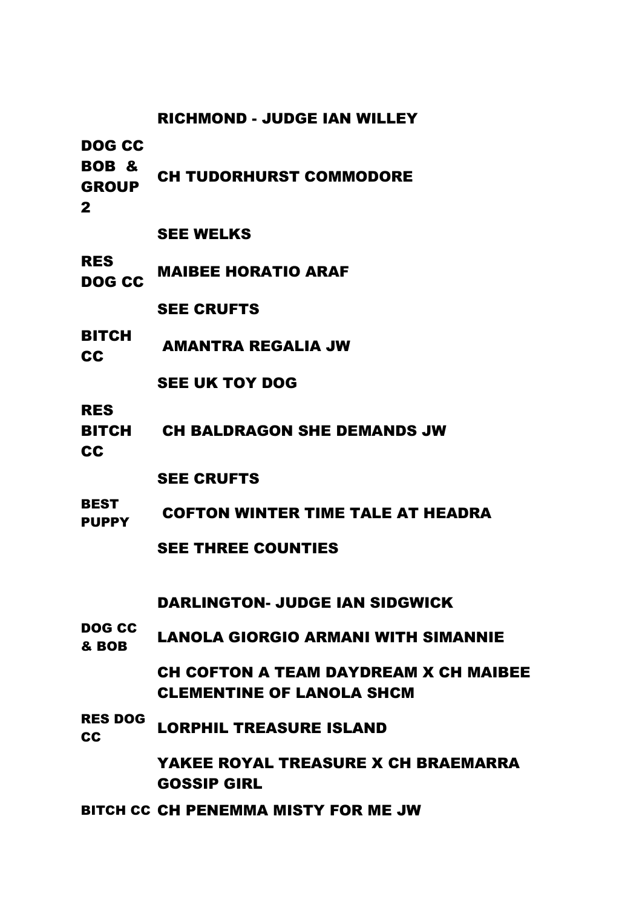|                                                | <b>RICHMOND - JUDGE IAN WILLEY</b>                                        |
|------------------------------------------------|---------------------------------------------------------------------------|
| DOG CC<br>BOB &<br><b>GROUP</b><br>$\mathbf 2$ | <b>CH TUDORHURST COMMODORE</b>                                            |
|                                                | <b>SEE WELKS</b>                                                          |
| <b>RES</b><br>DOG CC                           | <b>MAIBEE HORATIO ARAF</b>                                                |
|                                                | <b>SEE CRUFTS</b>                                                         |
| <b>BITCH</b><br>CC                             | <b>AMANTRA REGALIA JW</b>                                                 |
|                                                | <b>SEE UK TOY DOG</b>                                                     |
| <b>RES</b><br><b>BITCH</b><br>CC               | <b>CH BALDRAGON SHE DEMANDS JW</b>                                        |
|                                                | <b>SEE CRUFTS</b>                                                         |
| <b>BEST</b><br><b>PUPPY</b>                    | <b>COFTON WINTER TIME TALE AT HEADRA</b>                                  |
|                                                | <b>SEE THREE COUNTIES</b>                                                 |
|                                                | <b>DARLINGTON- JUDGE IAN SIDGWICK</b>                                     |
| <b>DOG CC</b><br>& BOB                         | <b>LANOLA GIORGIO ARMANI WITH SIMANNIE</b>                                |
|                                                | CH COFTON A TEAM DAYDREAM X CH MAIBEE<br><b>CLEMENTINE OF LANOLA SHCM</b> |
| <b>RES DOG</b><br>cc                           | <b>LORPHIL TREASURE ISLAND</b>                                            |
|                                                | YAKEE ROYAL TREASURE X CH BRAEMARRA<br><b>GOSSIP GIRL</b>                 |
|                                                | BITCH CC CH PENEMMA MISTY FOR ME JW                                       |
|                                                |                                                                           |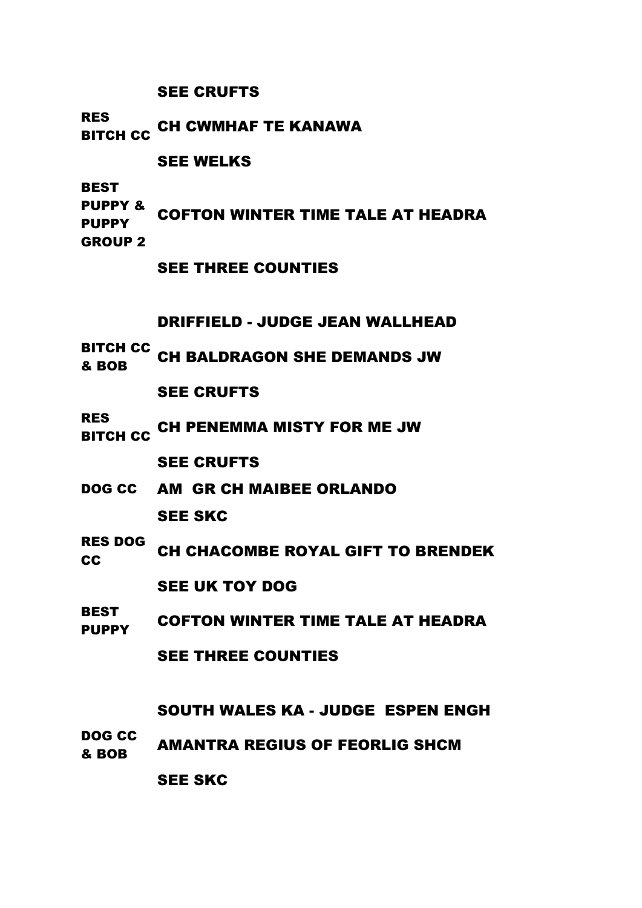#### SEE CRUFTS

RES<br>BITCH CC <sup>CH CWMHAF TE KANAWA</sup>

### SEE WELKS

BEST

- PUPPY & **PUPPY** COFTON WINTER TIME TALE AT HEADRA
- GROUP 2
- SEE THREE COUNTIES

# DRIFFIELD - JUDGE JEAN WALLHEAD

- 
- BITCH CC & BOB CH BALDRAGON SHE DEMANDS JW
	- SEE CRUFTS

RES<br>BITCH CC CH PENEMMA MISTY FOR ME JW

SEE CRUFTS

- DOG CC AM GR CH MAIBEE ORLANDO SEE SKC
- RES DOG **CC CH CHACOMBE ROYAL GIFT TO BRENDEK**

# SEE UK TOY DOG

BEST PUPPY COFTON WINTER TIME TALE AT HEADRA

SEE THREE COUNTIES

# SOUTH WALES KA - JUDGE ESPEN ENGH

DOG CC **BOB AMANTRA REGIUS OF FEORLIG SHCM** 

SEE SKC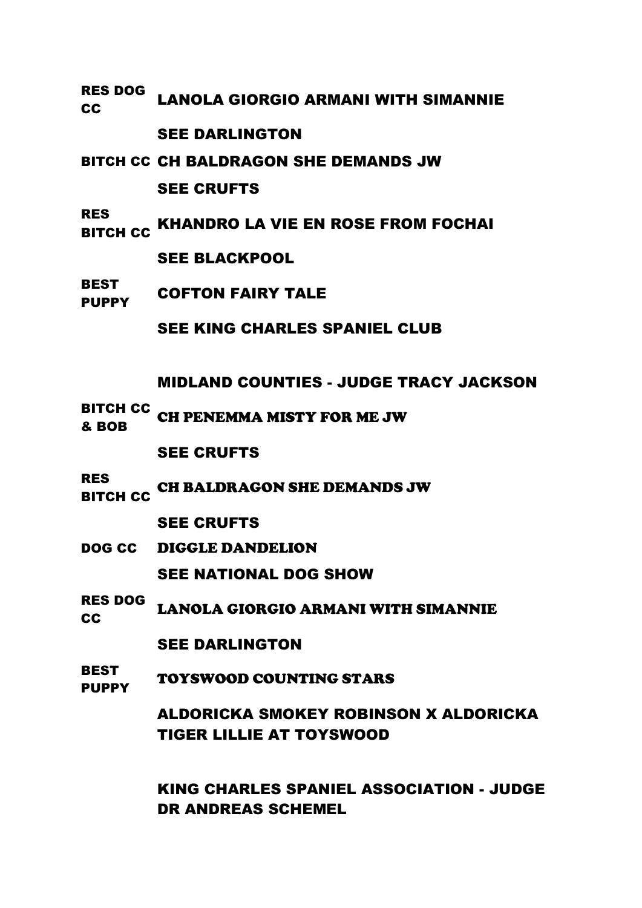RES DOG RES BOO LANOLA GIORGIO ARMANI WITH SIMANNIE

### SEE DARLINGTON

BITCH CC CH BALDRAGON SHE DEMANDS JW

SEE CRUFTS

RES NOTE: KHANDRO LA VIE EN ROSE FROM FOCHAI

SEE BLACKPOOL

BEST PUPPY COFTON FAIRY TALE

SEE KING CHARLES SPANIEL CLUB

MIDLAND COUNTIES - JUDGE TRACY JACKSON

BITCH CC & BOB CH PENEMMA MISTY FOR ME JW

SEE CRUFTS

RES<br>BITCH CC CH BALDRAGON SHE DEMANDS JW

SEE CRUFTS

DOG CC DIGGLE DANDELION

SEE NATIONAL DOG SHOW

RES DOG RES BOO LANOLA GIORGIO ARMANI WITH SIMANNIE

SEE DARLINGTON

**BEST** PUPPY TOYSWOOD COUNTING STARS

> ALDORICKA SMOKEY ROBINSON X ALDORICKA TIGER LILLIE AT TOYSWOOD

KING CHARLES SPANIEL ASSOCIATION - JUDGE DR ANDREAS SCHEMEL